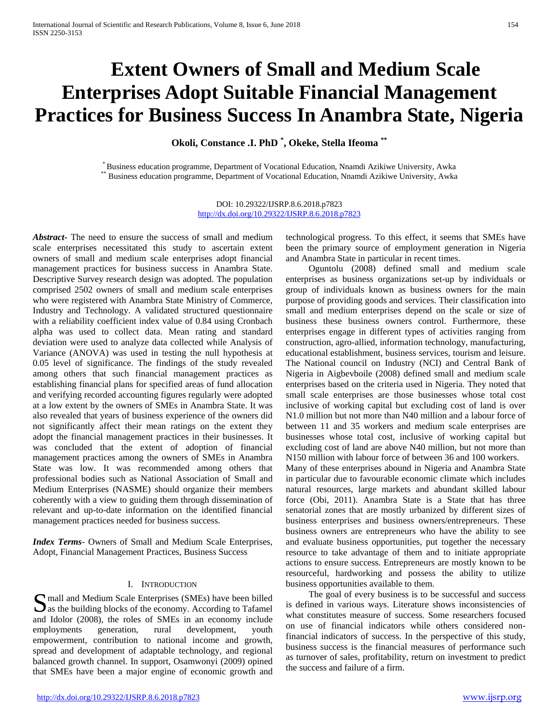# **Extent Owners of Small and Medium Scale Enterprises Adopt Suitable Financial Management Practices for Business Success In Anambra State, Nigeria**

**Okoli, Constance .I. PhD \* , Okeke, Stella Ifeoma \*\***

\* Business education programme, Department of Vocational Education, Nnamdi Azikiwe University, Awka \*\* Business education programme, Department of Vocational Education, Nnamdi Azikiwe University, Awka

DOI: 10.29322/IJSRP.8.6.2018.p7823 <http://dx.doi.org/10.29322/IJSRP.8.6.2018.p7823>

*Abstract***-** The need to ensure the success of small and medium scale enterprises necessitated this study to ascertain extent owners of small and medium scale enterprises adopt financial management practices for business success in Anambra State. Descriptive Survey research design was adopted. The population comprised 2502 owners of small and medium scale enterprises who were registered with Anambra State Ministry of Commerce, Industry and Technology. A validated structured questionnaire with a reliability coefficient index value of 0.84 using Cronbach alpha was used to collect data. Mean rating and standard deviation were used to analyze data collected while Analysis of Variance (ANOVA) was used in testing the null hypothesis at 0.05 level of significance. The findings of the study revealed among others that such financial management practices as establishing financial plans for specified areas of fund allocation and verifying recorded accounting figures regularly were adopted at a low extent by the owners of SMEs in Anambra State. It was also revealed that years of business experience of the owners did not significantly affect their mean ratings on the extent they adopt the financial management practices in their businesses. It was concluded that the extent of adoption of financial management practices among the owners of SMEs in Anambra State was low. It was recommended among others that professional bodies such as National Association of Small and Medium Enterprises (NASME) should organize their members coherently with a view to guiding them through dissemination of relevant and up-to-date information on the identified financial management practices needed for business success.

*Index Terms*- Owners of Small and Medium Scale Enterprises, Adopt, Financial Management Practices, Business Success

## I. INTRODUCTION

Simul and Medium Scale Enterprises (SMEs) have been billed<br>as the building blocks of the economy. According to Tafamel  $\sum$  as the building blocks of the economy. According to Tafamel and Idolor (2008), the roles of SMEs in an economy include employments generation, rural development, youth empowerment, contribution to national income and growth, spread and development of adaptable technology, and regional balanced growth channel. In support, Osamwonyi (2009) opined that SMEs have been a major engine of economic growth and

technological progress. To this effect, it seems that SMEs have been the primary source of employment generation in Nigeria and Anambra State in particular in recent times.

 Oguntolu (2008) defined small and medium scale enterprises as business organizations set-up by individuals or group of individuals known as business owners for the main purpose of providing goods and services. Their classification into small and medium enterprises depend on the scale or size of business these business owners control. Furthermore, these enterprises engage in different types of activities ranging from construction, agro-allied, information technology, manufacturing, educational establishment, business services, tourism and leisure. The National council on Industry (NCI) and Central Bank of Nigeria in Aigbevboile (2008) defined small and medium scale enterprises based on the criteria used in Nigeria. They noted that small scale enterprises are those businesses whose total cost inclusive of working capital but excluding cost of land is over N1.0 million but not more than N40 million and a labour force of between 11 and 35 workers and medium scale enterprises are businesses whose total cost, inclusive of working capital but excluding cost of land are above N40 million, but not more than N150 million with labour force of between 36 and 100 workers.

Many of these enterprises abound in Nigeria and Anambra State in particular due to favourable economic climate which includes natural resources, large markets and abundant skilled labour force (Obi, 2011). Anambra State is a State that has three senatorial zones that are mostly urbanized by different sizes of business enterprises and business owners/entrepreneurs. These business owners are entrepreneurs who have the ability to see and evaluate business opportunities, put together the necessary resource to take advantage of them and to initiate appropriate actions to ensure success. Entrepreneurs are mostly known to be resourceful, hardworking and possess the ability to utilize business opportunities available to them.

 The goal of every business is to be successful and success is defined in various ways. Literature shows inconsistencies of what constitutes measure of success. Some researchers focused on use of financial indicators while others considered nonfinancial indicators of success. In the perspective of this study, business success is the financial measures of performance such as turnover of sales, profitability, return on investment to predict the success and failure of a firm.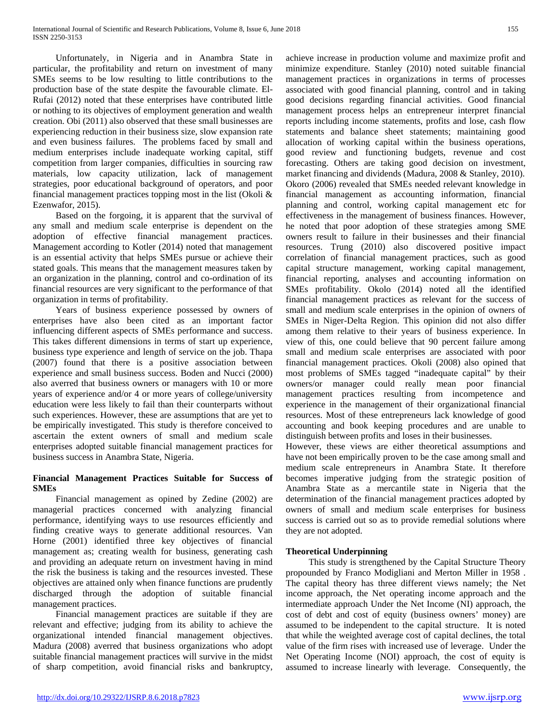Unfortunately, in Nigeria and in Anambra State in particular, the profitability and return on investment of many SMEs seems to be low resulting to little contributions to the production base of the state despite the favourable climate. El-Rufai (2012) noted that these enterprises have contributed little or nothing to its objectives of employment generation and wealth creation. Obi (2011) also observed that these small businesses are experiencing reduction in their business size, slow expansion rate and even business failures. The problems faced by small and medium enterprises include inadequate working capital, stiff competition from larger companies, difficulties in sourcing raw materials, low capacity utilization, lack of management strategies, poor educational background of operators, and poor financial management practices topping most in the list (Okoli  $\&$ Ezenwafor, 2015).

 Based on the forgoing, it is apparent that the survival of any small and medium scale enterprise is dependent on the adoption of effective financial management practices. Management according to Kotler (2014) noted that management is an essential activity that helps SMEs pursue or achieve their stated goals. This means that the management measures taken by an organization in the planning, control and co-ordination of its financial resources are very significant to the performance of that organization in terms of profitability.

 Years of business experience possessed by owners of enterprises have also been cited as an important factor influencing different aspects of SMEs performance and success. This takes different dimensions in terms of start up experience, business type experience and length of service on the job. Thapa (2007) found that there is a positive association between experience and small business success. Boden and Nucci (2000) also averred that business owners or managers with 10 or more years of experience and/or 4 or more years of college/university education were less likely to fail than their counterparts without such experiences. However, these are assumptions that are yet to be empirically investigated. This study is therefore conceived to ascertain the extent owners of small and medium scale enterprises adopted suitable financial management practices for business success in Anambra State, Nigeria.

# **Financial Management Practices Suitable for Success of SMEs**

 Financial management as opined by Zedine (2002) are managerial practices concerned with analyzing financial performance, identifying ways to use resources efficiently and finding creative ways to generate additional resources. Van Horne (2001) identified three key objectives of financial management as; creating wealth for business, generating cash and providing an adequate return on investment having in mind the risk the business is taking and the resources invested. These objectives are attained only when finance functions are prudently discharged through the adoption of suitable financial management practices.

 Financial management practices are suitable if they are relevant and effective; judging from its ability to achieve the organizational intended financial management objectives. Madura (2008) averred that business organizations who adopt suitable financial management practices will survive in the midst of sharp competition, avoid financial risks and bankruptcy, achieve increase in production volume and maximize profit and minimize expenditure. Stanley (2010) noted suitable financial management practices in organizations in terms of processes associated with good financial planning, control and in taking good decisions regarding financial activities. Good financial management process helps an entrepreneur interpret financial reports including income statements, profits and lose, cash flow statements and balance sheet statements; maintaining good allocation of working capital within the business operations, good review and functioning budgets, revenue and cost forecasting. Others are taking good decision on investment, market financing and dividends (Madura, 2008 & Stanley, 2010). Okoro (2006) revealed that SMEs needed relevant knowledge in financial management as accounting information, financial planning and control, working capital management etc for effectiveness in the management of business finances. However, he noted that poor adoption of these strategies among SME owners result to failure in their businesses and their financial resources. Trung (2010) also discovered positive impact correlation of financial management practices, such as good capital structure management, working capital management, financial reporting, analyses and accounting information on SMEs profitability. Okolo (2014) noted all the identified financial management practices as relevant for the success of small and medium scale enterprises in the opinion of owners of SMEs in Niger-Delta Region. This opinion did not also differ among them relative to their years of business experience. In view of this, one could believe that 90 percent failure among small and medium scale enterprises are associated with poor financial management practices. Okoli (2008) also opined that most problems of SMEs tagged "inadequate capital" by their owners/or manager could really mean poor financial management practices resulting from incompetence and experience in the management of their organizational financial resources. Most of these entrepreneurs lack knowledge of good accounting and book keeping procedures and are unable to distinguish between profits and loses in their businesses.

However, these views are either theoretical assumptions and have not been empirically proven to be the case among small and medium scale entrepreneurs in Anambra State. It therefore becomes imperative judging from the strategic position of Anambra State as a mercantile state in Nigeria that the determination of the financial management practices adopted by owners of small and medium scale enterprises for business success is carried out so as to provide remedial solutions where they are not adopted.

# **Theoretical Underpinning**

 This study is strengthened by the Capital Structure Theory propounded by Franco Modigliani and Merton Miller in 1958 . The capital theory has three different views namely; the Net income approach, the Net operating income approach and the intermediate approach Under the Net Income (NI) approach, the cost of debt and cost of equity (business owners' money) are assumed to be independent to the capital structure. It is noted that while the weighted average cost of capital declines, the total value of the firm rises with increased use of leverage. Under the Net Operating Income (NOI) approach, the cost of equity is assumed to increase linearly with leverage. Consequently, the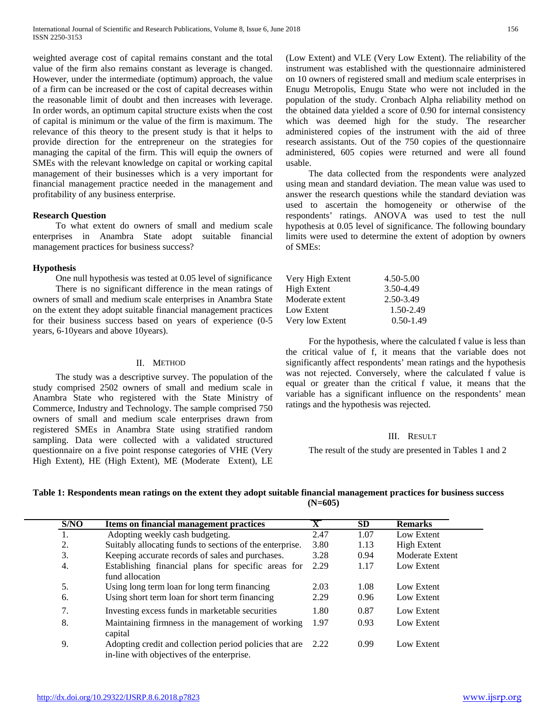weighted average cost of capital remains constant and the total value of the firm also remains constant as leverage is changed. However, under the intermediate (optimum) approach, the value of a firm can be increased or the cost of capital decreases within the reasonable limit of doubt and then increases with leverage. In order words, an optimum capital structure exists when the cost of capital is minimum or the value of the firm is maximum. The relevance of this theory to the present study is that it helps to provide direction for the entrepreneur on the strategies for managing the capital of the firm. This will equip the owners of SMEs with the relevant knowledge on capital or working capital management of their businesses which is a very important for financial management practice needed in the management and profitability of any business enterprise.

## **Research Question**

 To what extent do owners of small and medium scale enterprises in Anambra State adopt suitable financial management practices for business success?

## **Hypothesis**

 One null hypothesis was tested at 0.05 level of significance There is no significant difference in the mean ratings of owners of small and medium scale enterprises in Anambra State on the extent they adopt suitable financial management practices for their business success based on years of experience (0-5 years, 6-10years and above 10years).

# II. METHOD

 The study was a descriptive survey. The population of the study comprised 2502 owners of small and medium scale in Anambra State who registered with the State Ministry of Commerce, Industry and Technology. The sample comprised 750 owners of small and medium scale enterprises drawn from registered SMEs in Anambra State using stratified random sampling. Data were collected with a validated structured questionnaire on a five point response categories of VHE (Very High Extent), HE (High Extent), ME (Moderate Extent), LE (Low Extent) and VLE (Very Low Extent). The reliability of the instrument was established with the questionnaire administered on 10 owners of registered small and medium scale enterprises in Enugu Metropolis, Enugu State who were not included in the population of the study. Cronbach Alpha reliability method on the obtained data yielded a score of 0.90 for internal consistency which was deemed high for the study. The researcher administered copies of the instrument with the aid of three research assistants. Out of the 750 copies of the questionnaire administered, 605 copies were returned and were all found usable.

 The data collected from the respondents were analyzed using mean and standard deviation. The mean value was used to answer the research questions while the standard deviation was used to ascertain the homogeneity or otherwise of the respondents' ratings. ANOVA was used to test the null hypothesis at 0.05 level of significance. The following boundary limits were used to determine the extent of adoption by owners of SMEs:

| Very High Extent | $4.50 - 5.00$ |
|------------------|---------------|
| High Extent      | 3.50-4.49     |
| Moderate extent  | 2.50-3.49     |
| Low Extent       | 1.50-2.49     |
| Very low Extent  | $0.50 - 1.49$ |

 For the hypothesis, where the calculated f value is less than the critical value of f, it means that the variable does not significantly affect respondents' mean ratings and the hypothesis was not rejected. Conversely, where the calculated f value is equal or greater than the critical f value, it means that the variable has a significant influence on the respondents' mean ratings and the hypothesis was rejected.

#### III. RESULT

The result of the study are presented in Tables 1 and 2

## **Table 1: Respondents mean ratings on the extent they adopt suitable financial management practices for business success (N=605)**

| S/NO | <b>Items on financial management practices</b>                                                             |      | <b>SD</b> | <b>Remarks</b>  |
|------|------------------------------------------------------------------------------------------------------------|------|-----------|-----------------|
| 1.   | Adopting weekly cash budgeting.                                                                            | 2.47 | 1.07      | Low Extent      |
| 2.   | Suitably allocating funds to sections of the enterprise.                                                   | 3.80 | 1.13      | High Extent     |
| 3.   | Keeping accurate records of sales and purchases.                                                           | 3.28 | 0.94      | Moderate Extent |
| 4.   | Establishing financial plans for specific areas for<br>fund allocation                                     | 2.29 | 1.17      | Low Extent      |
| 5.   | Using long term loan for long term financing                                                               | 2.03 | 1.08      | Low Extent      |
| 6.   | Using short term loan for short term financing                                                             | 2.29 | 0.96      | Low Extent      |
| 7.   | Investing excess funds in marketable securities                                                            | 1.80 | 0.87      | Low Extent      |
| 8.   | Maintaining firmness in the management of working<br>capital                                               | 1.97 | 0.93      | Low Extent      |
| 9.   | Adopting credit and collection period policies that are 2.22<br>in-line with objectives of the enterprise. |      | 0.99      | Low Extent      |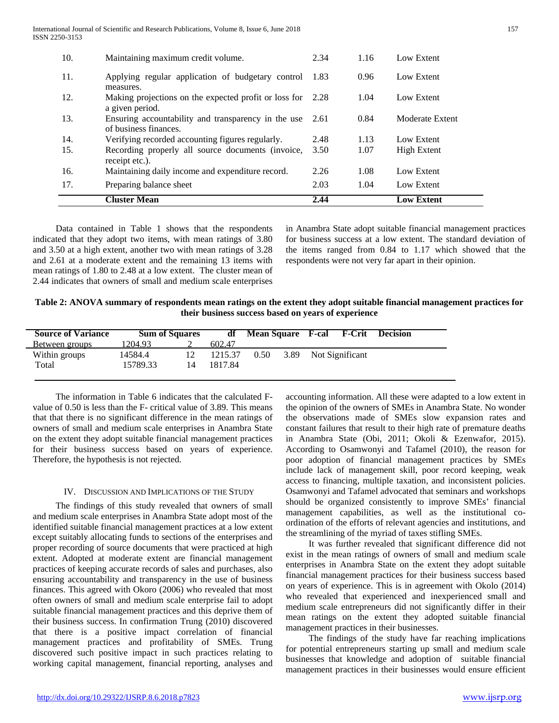| 10. | Maintaining maximum credit volume.                                           | 2.34  | 1.16 | Low Extent         |
|-----|------------------------------------------------------------------------------|-------|------|--------------------|
| 11. | Applying regular application of budgetary control<br>measures.               | -1.83 | 0.96 | Low Extent         |
| 12. | Making projections on the expected profit or loss for<br>a given period.     | 2.28  | 1.04 | Low Extent         |
| 13. | Ensuring accountability and transparency in the use<br>of business finances. | 2.61  | 0.84 | Moderate Extent    |
| 14. | Verifying recorded accounting figures regularly.                             | 2.48  | 1.13 | Low Extent         |
| 15. | Recording properly all source documents (invoice,<br>receipt etc.).          | 3.50  | 1.07 | <b>High Extent</b> |
| 16. | Maintaining daily income and expenditure record.                             | 2.26  | 1.08 | Low Extent         |
| 17. | Preparing balance sheet                                                      | 2.03  | 1.04 | Low Extent         |
|     | <b>Cluster Mean</b>                                                          | 2.44  |      | <b>Low Extent</b>  |

 Data contained in Table 1 shows that the respondents indicated that they adopt two items, with mean ratings of 3.80 and 3.50 at a high extent, another two with mean ratings of 3.28 and 2.61 at a moderate extent and the remaining 13 items with mean ratings of 1.80 to 2.48 at a low extent. The cluster mean of 2.44 indicates that owners of small and medium scale enterprises

in Anambra State adopt suitable financial management practices for business success at a low extent. The standard deviation of the items ranged from 0.84 to 1.17 which showed that the respondents were not very far apart in their opinion.

| Table 2: ANOVA summary of respondents mean ratings on the extent they adopt suitable financial management practices for |
|-------------------------------------------------------------------------------------------------------------------------|
| their business success based on vears of experience                                                                     |

| <b>Sum of Squares</b> | df      |      |         | Mean Square F-cal F-Crit | <b>Decision</b>      |
|-----------------------|---------|------|---------|--------------------------|----------------------|
| 1204.93               | 602.47  |      |         |                          |                      |
| 14584.4               |         | 0.50 |         |                          |                      |
| 15789.33<br>14        | 1817.84 |      |         |                          |                      |
|                       |         | 12   | 1215.37 |                          | 3.89 Not Significant |

 The information in Table 6 indicates that the calculated Fvalue of 0.50 is less than the F- critical value of 3.89. This means that that there is no significant difference in the mean ratings of owners of small and medium scale enterprises in Anambra State on the extent they adopt suitable financial management practices for their business success based on years of experience. Therefore, the hypothesis is not rejected.

## IV. DISCUSSION AND IMPLICATIONS OF THE STUDY

 The findings of this study revealed that owners of small and medium scale enterprises in Anambra State adopt most of the identified suitable financial management practices at a low extent except suitably allocating funds to sections of the enterprises and proper recording of source documents that were practiced at high extent. Adopted at moderate extent are financial management practices of keeping accurate records of sales and purchases, also ensuring accountability and transparency in the use of business finances. This agreed with Okoro (2006) who revealed that most often owners of small and medium scale enterprise fail to adopt suitable financial management practices and this deprive them of their business success. In confirmation Trung (2010) discovered that there is a positive impact correlation of financial management practices and profitability of SMEs. Trung discovered such positive impact in such practices relating to working capital management, financial reporting, analyses and

accounting information. All these were adapted to a low extent in the opinion of the owners of SMEs in Anambra State. No wonder the observations made of SMEs slow expansion rates and constant failures that result to their high rate of premature deaths in Anambra State (Obi, 2011; Okoli & Ezenwafor, 2015). According to Osamwonyi and Tafamel (2010), the reason for poor adoption of financial management practices by SMEs include lack of management skill, poor record keeping, weak access to financing, multiple taxation, and inconsistent policies. Osamwonyi and Tafamel advocated that seminars and workshops should be organized consistently to improve SMEs' financial management capabilities, as well as the institutional coordination of the efforts of relevant agencies and institutions, and the streamlining of the myriad of taxes stifling SMEs.

 It was further revealed that significant difference did not exist in the mean ratings of owners of small and medium scale enterprises in Anambra State on the extent they adopt suitable financial management practices for their business success based on years of experience. This is in agreement with Okolo (2014) who revealed that experienced and inexperienced small and medium scale entrepreneurs did not significantly differ in their mean ratings on the extent they adopted suitable financial management practices in their businesses.

 The findings of the study have far reaching implications for potential entrepreneurs starting up small and medium scale businesses that knowledge and adoption of suitable financial management practices in their businesses would ensure efficient